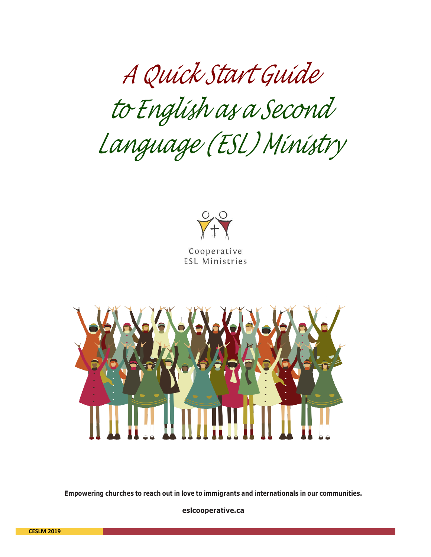*A Quick Start Guide to English as a Second Language (ESL) Ministry*



Cooperative **ESL Ministries** 



**Empowering churches to reach out in love to immigrants and internationals in our communities.**

**[eslcooperative.ca](http://www.eslcooperative.ca/)**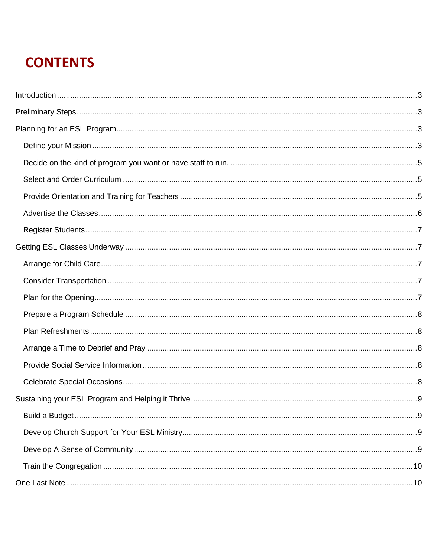# **CONTENTS**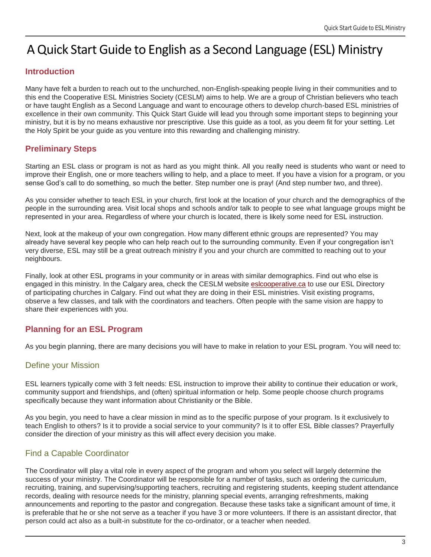# A Quick Start Guide to English as a Second Language (ESL) Ministry

# <span id="page-2-0"></span>**Introduction**

Many have felt a burden to reach out to the unchurched, non-English-speaking people living in their communities and to this end the Cooperative ESL Ministries Society (CESLM) aims to help. We are a group of Christian believers who teach or have taught English as a Second Language and want to encourage others to develop church-based ESL ministries of excellence in their own community. This Quick Start Guide will lead you through some important steps to beginning your ministry, but it is by no means exhaustive nor prescriptive. Use this guide as a tool, as you deem fit for your setting. Let the Holy Spirit be your guide as you venture into this rewarding and challenging ministry.

# <span id="page-2-1"></span>**Preliminary Steps**

Starting an ESL class or program is not as hard as you might think. All you really need is students who want or need to improve their English, one or more teachers willing to help, and a place to meet. If you have a vision for a program, or you sense God's call to do something, so much the better. Step number one is pray! (And step number two, and three).

As you consider whether to teach ESL in your church, first look at the location of your church and the demographics of the people in the surrounding area. Visit local shops and schools and/or talk to people to see what language groups might be represented in your area. Regardless of where your church is located, there is likely some need for ESL instruction.

Next, look at the makeup of your own congregation. How many different ethnic groups are represented? You may already have several key people who can help reach out to the surrounding community. Even if your congregation isn't very diverse, ESL may still be a great outreach ministry if you and your church are committed to reaching out to your neighbours.

Finally, look at other ESL programs in your community or in areas with similar demographics. Find out who else is engaged in this ministry. In the Calgary area, check the CESLM website [eslcooperative.ca](http://eslcooperative.ca/) to use our ESL Directory of participating churches in Calgary. Find out what they are doing in their ESL ministries. Visit existing programs, observe a few classes, and talk with the coordinators and teachers. Often people with the same vision are happy to share their experiences with you.

# <span id="page-2-2"></span>**Planning for an ESL Program**

As you begin planning, there are many decisions you will have to make in relation to your ESL program. You will need to:

# <span id="page-2-3"></span>Define your Mission

ESL learners typically come with 3 felt needs: ESL instruction to improve their ability to continue their education or work, community support and friendships, and (often) spiritual information or help. Some people choose church programs specifically because they want information about Christianity or the Bible.

As you begin, you need to have a clear mission in mind as to the specific purpose of your program. Is it exclusively to teach English to others? Is it to provide a social service to your community? Is it to offer ESL Bible classes? Prayerfully consider the direction of your ministry as this will affect every decision you make.

# Find a Capable Coordinator

The Coordinator will play a vital role in every aspect of the program and whom you select will largely determine the success of your ministry. The Coordinator will be responsible for a number of tasks, such as ordering the curriculum, recruiting, training, and supervising/supporting teachers, recruiting and registering students, keeping student attendance records, dealing with resource needs for the ministry, planning special events, arranging refreshments, making announcements and reporting to the pastor and congregation. Because these tasks take a significant amount of time, it is preferable that he or she not serve as a teacher if you have 3 or more volunteers. If there is an assistant director, that person could act also as a built-in substitute for the co-ordinator, or a teacher when needed.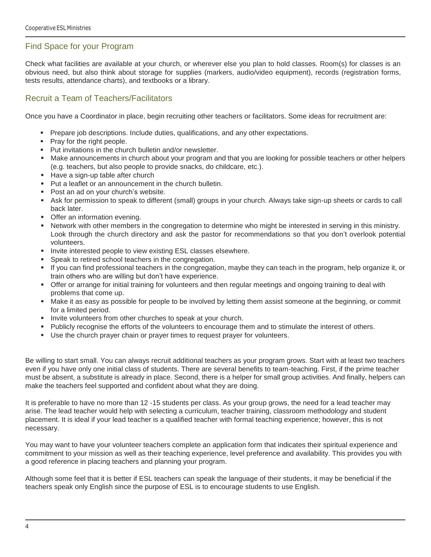#### Find Space for your Program

Check what facilities are available at your church, or wherever else you plan to hold classes. Room(s) for classes is an obvious need, but also think about storage for supplies (markers, audio/video equipment), records (registration forms, tests results, attendance charts), and textbooks or a library.

#### Recruit a Team of Teachers/Facilitators

Once you have a Coordinator in place, begin recruiting other teachers or facilitators. Some ideas for recruitment are:

- **•** Prepare job descriptions. Include duties, qualifications, and any other expectations.
- Pray for the right people.
- Put invitations in the church bulletin and/or newsletter.
- Make announcements in church about your program and that you are looking for possible teachers or other helpers (e.g. teachers, but also people to provide snacks, do childcare, etc.).
- Have a sign-up table after church
- Put a leaflet or an announcement in the church bulletin.
- Post an ad on your church's website.
- Ask for permission to speak to different (small) groups in your church. Always take sign-up sheets or cards to call back later.
- **Offer an information evening.**
- Network with other members in the congregation to determine who might be interested in serving in this ministry. Look through the church directory and ask the pastor for recommendations so that you don't overlook potential volunteers.
- **.** Invite interested people to view existing ESL classes elsewhere.
- **•** Speak to retired school teachers in the congregation.
- If you can find professional teachers in the congregation, maybe they can teach in the program, help organize it, or train others who are willing but don't have experience.
- Offer or arrange for initial training for volunteers and then regular meetings and ongoing training to deal with problems that come up.
- Make it as easy as possible for people to be involved by letting them assist someone at the beginning, or commit for a limited period.
- **EXEDENT Invite volunteers from other churches to speak at your church.**
- Publicly recognise the efforts of the volunteers to encourage them and to stimulate the interest of others.
- Use the church prayer chain or prayer times to request prayer for volunteers.

Be willing to start small. You can always recruit additional teachers as your program grows. Start with at least two teachers even if you have only one initial class of students. There are several benefits to team-teaching. First, if the prime teacher must be absent, a substitute is already in place. Second, there is a helper for small group activities. And finally, helpers can make the teachers feel supported and confident about what they are doing.

It is preferable to have no more than 12 -15 students per class. As your group grows, the need for a lead teacher may arise. The lead teacher would help with selecting a curriculum, teacher training, classroom methodology and student placement. It is ideal if your lead teacher is a qualified teacher with formal teaching experience; however, this is not necessary.

You may want to have your volunteer teachers complete an application form that indicates their spiritual experience and commitment to your mission as well as their teaching experience, level preference and availability. This provides you with a good reference in placing teachers and planning your program.

Although some feel that it is better if ESL teachers can speak the language of their students, it may be beneficial if the teachers speak only English since the purpose of ESL is to encourage students to use English.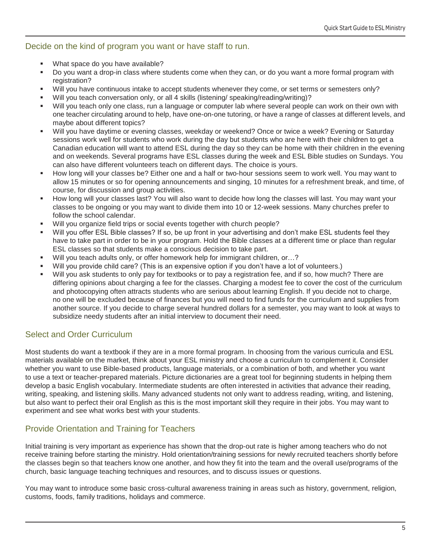#### <span id="page-4-0"></span>Decide on the kind of program you want or have staff to run.

- What space do you have available?
- Do you want a drop-in class where students come when they can, or do you want a more formal program with registration?
- Will you have continuous intake to accept students whenever they come, or set terms or semesters only?
- Will you teach conversation only, or all 4 skills (listening/ speaking/reading/writing)?
- Will you teach only one class, run a language or computer lab where several people can work on their own with one teacher circulating around to help, have one-on-one tutoring, or have a range of classes at different levels, and maybe about different topics?
- Will you have daytime or evening classes, weekday or weekend? Once or twice a week? Evening or Saturday sessions work well for students who work during the day but students who are here with their children to get a Canadian education will want to attend ESL during the day so they can be home with their children in the evening and on weekends. Several programs have ESL classes during the week and ESL Bible studies on Sundays. You can also have different volunteers teach on different days. The choice is yours.
- How long will your classes be? Either one and a half or two-hour sessions seem to work well. You may want to allow 15 minutes or so for opening announcements and singing, 10 minutes for a refreshment break, and time, of course, for discussion and group activities.
- How long will your classes last? You will also want to decide how long the classes will last. You may want your classes to be ongoing or you may want to divide them into 10 or 12-week sessions. Many churches prefer to follow the school calendar.
- Will you organize field trips or social events together with church people?
- Will you offer ESL Bible classes? If so, be up front in your advertising and don't make ESL students feel they have to take part in order to be in your program. Hold the Bible classes at a different time or place than regular ESL classes so that students make a conscious decision to take part.
- Will you teach adults only, or offer homework help for immigrant children, or…?
- Will you provide child care? (This is an expensive option if you don't have a lot of volunteers.)
- Will you ask students to only pay for textbooks or to pay a registration fee, and if so, how much? There are differing opinions about charging a fee for the classes. Charging a modest fee to cover the cost of the curriculum and photocopying often attracts students who are serious about learning English. If you decide not to charge, no one will be excluded because of finances but you will need to find funds for the curriculum and supplies from another source. If you decide to charge several hundred dollars for a semester, you may want to look at ways to subsidize needy students after an initial interview to document their need.

#### <span id="page-4-1"></span>Select and Order Curriculum

Most students do want a textbook if they are in a more formal program. In choosing from the various curricula and ESL materials available on the market, think about your ESL ministry and choose a curriculum to complement it. Consider whether you want to use Bible-based products, language materials, or a combination of both, and whether you want to use a text or teacher-prepared materials. Picture dictionaries are a great tool for beginning students in helping them develop a basic English vocabulary. Intermediate students are often interested in activities that advance their reading, writing, speaking, and listening skills. Many advanced students not only want to address reading, writing, and listening, but also want to perfect their oral English as this is the most important skill they require in their jobs. You may want to experiment and see what works best with your students.

#### <span id="page-4-2"></span>Provide Orientation and Training for Teachers

Initial training is very important as experience has shown that the drop-out rate is higher among teachers who do not receive training before starting the ministry. Hold orientation/training sessions for newly recruited teachers shortly before the classes begin so that teachers know one another, and how they fit into the team and the overall use/programs of the church, basic language teaching techniques and resources, and to discuss issues or questions.

You may want to introduce some basic cross-cultural awareness training in areas such as history, government, religion, customs, foods, family traditions, holidays and commerce.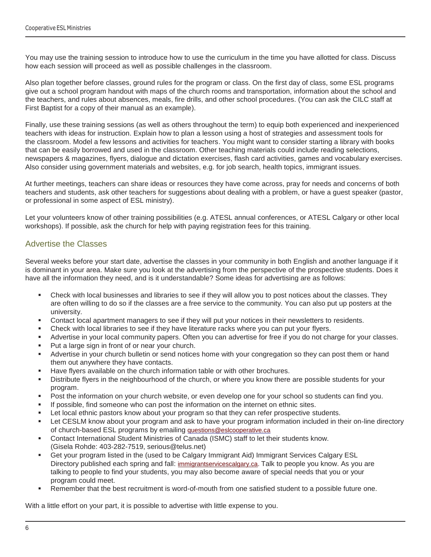You may use the training session to introduce how to use the curriculum in the time you have allotted for class. Discuss how each session will proceed as well as possible challenges in the classroom.

Also plan together before classes, ground rules for the program or class. On the first day of class, some ESL programs give out a school program handout with maps of the church rooms and transportation, information about the school and the teachers, and rules about absences, meals, fire drills, and other school procedures. (You can ask the CILC staff at First Baptist for a copy of their manual as an example).

Finally, use these training sessions (as well as others throughout the term) to equip both experienced and inexperienced teachers with ideas for instruction. Explain how to plan a lesson using a host of strategies and assessment tools for the classroom. Model a few lessons and activities for teachers. You might want to consider starting a library with books that can be easily borrowed and used in the classroom. Other teaching materials could include reading selections, newspapers & magazines, flyers, dialogue and dictation exercises, flash card activities, games and vocabulary exercises. Also consider using government materials and websites, e.g. for job search, health topics, immigrant issues.

At further meetings, teachers can share ideas or resources they have come across, pray for needs and concerns of both teachers and students, ask other teachers for suggestions about dealing with a problem, or have a guest speaker (pastor, or professional in some aspect of ESL ministry).

Let your volunteers know of other training possibilities (e.g. ATESL annual conferences, or ATESL Calgary or other local workshops). If possible, ask the church for help with paying registration fees for this training.

#### <span id="page-5-0"></span>Advertise the Classes

Several weeks before your start date, advertise the classes in your community in both English and another language if it is dominant in your area. Make sure you look at the advertising from the perspective of the prospective students. Does it have all the information they need, and is it understandable? Some ideas for advertising are as follows:

- Check with local businesses and libraries to see if they will allow you to post notices about the classes. They are often willing to do so if the classes are a free service to the community. You can also put up posters at the university.
- Contact local apartment managers to see if they will put your notices in their newsletters to residents.
- Check with local libraries to see if they have literature racks where you can put your flyers.
- Advertise in your local community papers. Often you can advertise for free if you do not charge for your classes.
- Put a large sign in front of or near your church.
- Advertise in your church bulletin or send notices home with your congregation so they can post them or hand them out anywhere they have contacts.
- Have flyers available on the church information table or with other brochures.
- Distribute flyers in the neighbourhood of the church, or where you know there are possible students for your program.
- Post the information on your church website, or even develop one for your school so students can find you.
- If possible, find someone who can post the information on the internet on ethnic sites.
- Let local ethnic pastors know about your program so that they can refer prospective students.
- Let CESLM know about your program and ask to have your program information included in their on-line directory of church-based ESL programs by emailing [questions@eslcooperative.ca](mailto:questions@eslcooperative.ca)
- Contact International Student Ministries of Canada (ISMC) staff to let their students know. (Gisela Rohde: 403-282-7519, serious@telus.net)
- Get your program listed in the (used to be Calgary Immigrant Aid) Immigrant Services Calgary ESL Directory published each spring and fall: [immigrantservicescalgary.ca.](https://immigrantservicescalgary.ca/sites/immigrantservicescalgary.ca/files/Sep%202018_Mar%202019%20ESL%20Directory.pdf) Talk to people you know. As you are talking to people to find your students, you may also become aware of special needs that you or your program could meet.
- Remember that the best recruitment is word-of-mouth from one satisfied student to a possible future one.

With a little effort on your part, it is possible to advertise with little expense to you.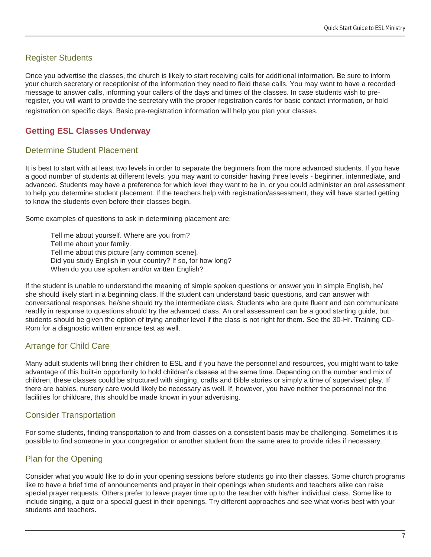# <span id="page-6-0"></span>Register Students

Once you advertise the classes, the church is likely to start receiving calls for additional information. Be sure to inform your church secretary or receptionist of the information they need to field these calls. You may want to have a recorded message to answer calls, informing your callers of the days and times of the classes. In case students wish to preregister, you will want to provide the secretary with the proper registration cards for basic contact information, or hold registration on specific days. Basic pre-registration information will help you plan your classes.

# <span id="page-6-1"></span>**Getting ESL Classes Underway**

#### Determine Student Placement

It is best to start with at least two levels in order to separate the beginners from the more advanced students. If you have a good number of students at different levels, you may want to consider having three levels - beginner, intermediate, and advanced. Students may have a preference for which level they want to be in, or you could administer an oral assessment to help you determine student placement. If the teachers help with registration/assessment, they will have started getting to know the students even before their classes begin.

Some examples of questions to ask in determining placement are:

Tell me about yourself. Where are you from? Tell me about your family. Tell me about this picture [any common scene]. Did you study English in your country? If so, for how long? When do you use spoken and/or written English?

If the student is unable to understand the meaning of simple spoken questions or answer you in simple English, he/ she should likely start in a beginning class. If the student can understand basic questions, and can answer with conversational responses, he/she should try the intermediate class. Students who are quite fluent and can communicate readily in response to questions should try the advanced class. An oral assessment can be a good starting guide, but students should be given the option of trying another level if the class is not right for them. See the 30-Hr. Training CD-Rom for a diagnostic written entrance test as well.

# <span id="page-6-2"></span>Arrange for Child Care

Many adult students will bring their children to ESL and if you have the personnel and resources, you might want to take advantage of this built-in opportunity to hold children's classes at the same time. Depending on the number and mix of children, these classes could be structured with singing, crafts and Bible stories or simply a time of supervised play. If there are babies, nursery care would likely be necessary as well. If, however, you have neither the personnel nor the facilities for childcare, this should be made known in your advertising.

# <span id="page-6-3"></span>Consider Transportation

For some students, finding transportation to and from classes on a consistent basis may be challenging. Sometimes it is possible to find someone in your congregation or another student from the same area to provide rides if necessary.

# <span id="page-6-4"></span>Plan for the Opening

Consider what you would like to do in your opening sessions before students go into their classes. Some church programs like to have a brief time of announcements and prayer in their openings when students and teachers alike can raise special prayer requests. Others prefer to leave prayer time up to the teacher with his/her individual class. Some like to include singing, a quiz or a special guest in their openings. Try different approaches and see what works best with your students and teachers.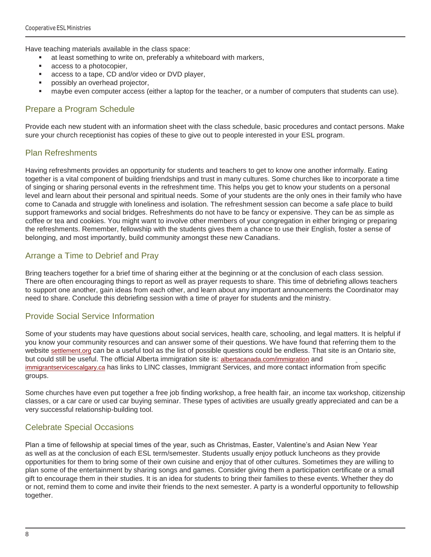Have teaching materials available in the class space:

- at least something to write on, preferably a whiteboard with markers,
- access to a photocopier,
- access to a tape, CD and/or video or DVD player,
- possibly an overhead projector,
- maybe even computer access (either a laptop for the teacher, or a number of computers that students can use).

#### <span id="page-7-0"></span>Prepare a Program Schedule

Provide each new student with an information sheet with the class schedule, basic procedures and contact persons. Make sure your church receptionist has copies of these to give out to people interested in your ESL program.

#### <span id="page-7-1"></span>Plan Refreshments

Having refreshments provides an opportunity for students and teachers to get to know one another informally. Eating together is a vital component of building friendships and trust in many cultures. Some churches like to incorporate a time of singing or sharing personal events in the refreshment time. This helps you get to know your students on a personal level and learn about their personal and spiritual needs. Some of your students are the only ones in their family who have come to Canada and struggle with loneliness and isolation. The refreshment session can become a safe place to build support frameworks and social bridges. Refreshments do not have to be fancy or expensive. They can be as simple as coffee or tea and cookies. You might want to involve other members of your congregation in either bringing or preparing the refreshments. Remember, fellowship with the students gives them a chance to use their English, foster a sense of belonging, and most importantly, build community amongst these new Canadians.

#### <span id="page-7-2"></span>Arrange a Time to Debrief and Pray

Bring teachers together for a brief time of sharing either at the beginning or at the conclusion of each class session. There are often encouraging things to report as well as prayer requests to share. This time of debriefing allows teachers to support one another, gain ideas from each other, and learn about any important announcements the Coordinator may need to share. Conclude this debriefing session with a time of prayer for students and the ministry.

#### <span id="page-7-3"></span>Provide Social Service Information

Some of your students may have questions about social services, health care, schooling, and legal matters. It is helpful if you know your community resources and can answer some of their questions. We have found that referring them to the website [settlement.org](http://www.settlement.org/) can be a useful tool as the list of possible questions could be endless. That site is an Ontario site, but could still be useful. The official Alberta immigration site is: [albertacanada.com/immigration](http://www.albertacanada.com/immigration) and [immigrantservicescalgary.ca](https://immigrantservicescalgary.ca/sites/immigrantservicescalgary.ca/files/Sep%202018_Mar%202019%20ESL%20Directory.pdf) has links to LINC classes, Immigrant Services, and more contact information from specific groups.

Some churches have even put together a free job finding workshop, a free health fair, an income tax workshop, citizenship classes, or a car care or used car buying seminar. These types of activities are usually greatly appreciated and can be a very successful relationship-building tool.

#### <span id="page-7-4"></span>Celebrate Special Occasions

Plan a time of fellowship at special times of the year, such as Christmas, Easter, Valentine's and Asian New Year as well as at the conclusion of each ESL term/semester. Students usually enjoy potluck luncheons as they provide opportunities for them to bring some of their own cuisine and enjoy that of other cultures. Sometimes they are willing to plan some of the entertainment by sharing songs and games. Consider giving them a participation certificate or a small gift to encourage them in their studies. It is an idea for students to bring their families to these events. Whether they do or not, remind them to come and invite their friends to the next semester. A party is a wonderful opportunity to fellowship together.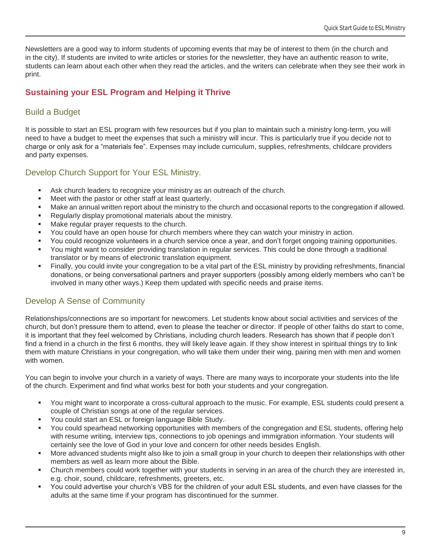Newsletters are a good way to inform students of upcoming events that may be of interest to them (in the church and in the city). If students are invited to write articles or stories for the newsletter, they have an authentic reason to write, students can learn about each other when they read the articles, and the writers can celebrate when they see their work in print.

# <span id="page-8-0"></span>**Sustaining your ESL Program and Helping it Thrive**

# <span id="page-8-1"></span>Build a Budget

It is possible to start an ESL program with few resources but if you plan to maintain such a ministry long-term, you will need to have a budget to meet the expenses that such a ministry will incur. This is particularly true if you decide not to charge or only ask for a "materials fee". Expenses may include curriculum, supplies, refreshments, childcare providers and party expenses.

#### <span id="page-8-2"></span>Develop Church Support for Your ESL Ministry.

- Ask church leaders to recognize your ministry as an outreach of the church.
- Meet with the pastor or other staff at least quarterly.
- Make an annual written report about the ministry to the church and occasional reports to the congregation if allowed.
- Regularly display promotional materials about the ministry.
- Make regular prayer requests to the church.
- You could have an open house for church members where they can watch your ministry in action.
- You could recognize volunteers in a church service once a year, and don't forget ongoing training opportunities.
- You might want to consider providing translation in regular services. This could be done through a traditional translator or by means of electronic translation equipment.
- Finally, you could invite your congregation to be a vital part of the ESL ministry by providing refreshments, financial donations, or being conversational partners and prayer supporters (possibly among elderly members who can't be involved in many other ways.) Keep them updated with specific needs and praise items.

# <span id="page-8-3"></span>Develop A Sense of Community

Relationships/connections are so important for newcomers. Let students know about social activities and services of the church, but don't pressure them to attend, even to please the teacher or director. If people of other faiths do start to come, it is important that they feel welcomed by Christians, including church leaders. Research has shown that if people don't find a friend in a church in the first 6 months, they will likely leave again. If they show interest in spiritual things try to link them with mature Christians in your congregation, who will take them under their wing, pairing men with men and women with women.

You can begin to involve your church in a variety of ways. There are many ways to incorporate your students into the life of the church. Experiment and find what works best for both your students and your congregation.

- You might want to incorporate a cross-cultural approach to the music. For example, ESL students could present a couple of Christian songs at one of the regular services.
- You could start an ESL or foreign language Bible Study.
- You could spearhead networking opportunities with members of the congregation and ESL students, offering help with resume writing, interview tips, connections to job openings and immigration information. Your students will certainly see the love of God in your love and concern for other needs besides English.
- More advanced students might also like to join a small group in your church to deepen their relationships with other members as well as learn more about the Bible.
- Church members could work together with your students in serving in an area of the church they are interested in, e.g. choir, sound, childcare, refreshments, greeters, etc.
- You could advertise your church's VBS for the children of your adult ESL students, and even have classes for the adults at the same time if your program has discontinued for the summer.